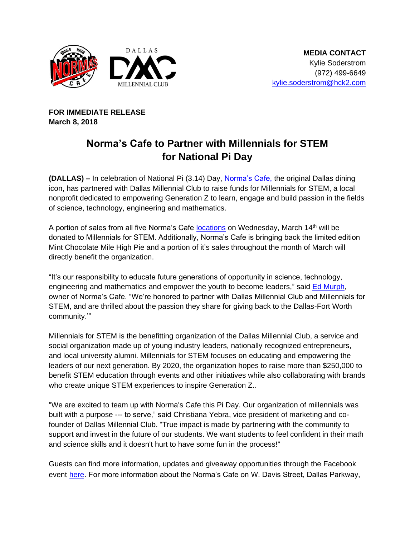

**FOR IMMEDIATE RELEASE March 8, 2018**

## **Norma's Cafe to Partner with Millennials for STEM for National Pi Day**

**(DALLAS) –** In celebration of National Pi (3.14) Day, [Norma's Cafe,](http://normascafe.com/) the original Dallas dining icon, has partnered with Dallas Millennial Club to raise funds for Millennials for STEM, a local nonprofit dedicated to empowering Generation Z to learn, engage and build passion in the fields of science, technology, engineering and mathematics.

A portion of sales from all five Norma's Cafe [locations](http://normascafe.com/locations/) on Wednesday, March 14<sup>th</sup> will be donated to Millennials for STEM. Additionally, Norma's Cafe is bringing back the limited edition Mint Chocolate Mile High Pie and a portion of it's sales throughout the month of March will directly benefit the organization.

"It's our responsibility to educate future generations of opportunity in science, technology, engineering and mathematics and empower the youth to become leaders," said [Ed Murph,](http://www.normascafe.com/about/) owner of Norma's Cafe. "We're honored to partner with Dallas Millennial Club and Millennials for STEM, and are thrilled about the passion they share for giving back to the Dallas-Fort Worth community.'"

Millennials for STEM is the benefitting organization of the Dallas Millennial Club, a service and social organization made up of young industry leaders, nationally recognized entrepreneurs, and local university alumni. Millennials for STEM focuses on educating and empowering the leaders of our next generation. By 2020, the organization hopes to raise more than \$250,000 to benefit STEM education through events and other initiatives while also collaborating with brands who create unique STEM experiences to inspire Generation Z..

"We are excited to team up with Norma's Cafe this Pi Day. Our organization of millennials was built with a purpose --- to serve," said Christiana Yebra, vice president of marketing and cofounder of Dallas Millennial Club. "True impact is made by partnering with the community to support and invest in the future of our students. We want students to feel confident in their math and science skills and it doesn't hurt to have some fun in the process!"

Guests can find more information, updates and giveaway opportunities through the Facebook event [here](https://www.facebook.com/events/594859250853003/). For more information about the Norma's Cafe on W. Davis Street, Dallas Parkway,